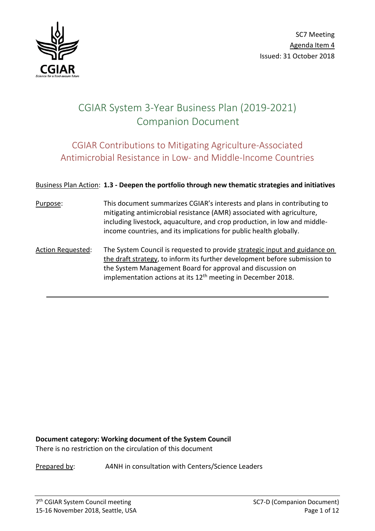

# CGIAR System 3-Year Business Plan (2019-2021) Companion Document

## CGIAR Contributions to Mitigating Agriculture-Associated Antimicrobial Resistance in Low- and Middle-Income Countries

#### Business Plan Action: **1.3 - Deepen the portfolio through new thematic strategies and initiatives**

- Purpose: This document summarizes CGIAR's interests and plans in contributing to mitigating antimicrobial resistance (AMR) associated with agriculture, including livestock, aquaculture, and crop production, in low and middleincome countries, and its implications for public health globally.
- Action Requested: The System Council is requested to provide strategic input and guidance on the draft strategy, to inform its further development before submission to the System Management Board for approval and discussion on implementation actions at its  $12<sup>th</sup>$  meeting in December 2018.

**Document category: Working document of the System Council**  There is no restriction on the circulation of this document

Prepared by: A4NH in consultation with Centers/Science Leaders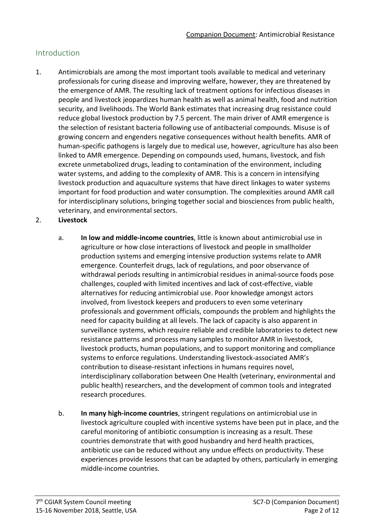## Introduction

- 1. Antimicrobials are among the most important tools available to medical and veterinary professionals for curing disease and improving welfare, however, they are threatened by the emergence of AMR. The resulting lack of treatment options for infectious diseases in people and livestock jeopardizes human health as well as animal health, food and nutrition security, and livelihoods. The World Bank estimates that increasing drug resistance could reduce global livestock production by 7.5 percent. The main driver of AMR emergence is the selection of resistant bacteria following use of antibacterial compounds. Misuse is of growing concern and engenders negative consequences without health benefits. AMR of human-specific pathogens is largely due to medical use, however, agriculture has also been linked to AMR emergence. Depending on compounds used, humans, livestock, and fish excrete unmetabolized drugs, leading to contamination of the environment, including water systems, and adding to the complexity of AMR. This is a concern in intensifying livestock production and aquaculture systems that have direct linkages to water systems important for food production and water consumption. The complexities around AMR call for interdisciplinary solutions, bringing together social and biosciences from public health, veterinary, and environmental sectors.
- 2. **Livestock**
	- a. **In low and middle-income countries**, little is known about antimicrobial use in agriculture or how close interactions of livestock and people in smallholder production systems and emerging intensive production systems relate to AMR emergence. Counterfeit drugs, lack of regulations, and poor observance of withdrawal periods resulting in antimicrobial residues in animal-source foods pose challenges, coupled with limited incentives and lack of cost-effective, viable alternatives for reducing antimicrobial use. Poor knowledge amongst actors involved, from livestock keepers and producers to even some veterinary professionals and government officials, compounds the problem and highlights the need for capacity building at all levels. The lack of capacity is also apparent in surveillance systems, which require reliable and credible laboratories to detect new resistance patterns and process many samples to monitor AMR in livestock, livestock products, human populations, and to support monitoring and compliance systems to enforce regulations. Understanding livestock-associated AMR's contribution to disease-resistant infections in humans requires novel, interdisciplinary collaboration between One Health (veterinary, environmental and public health) researchers, and the development of common tools and integrated research procedures.
	- b. **In many high-income countries**, stringent regulations on antimicrobial use in livestock agriculture coupled with incentive systems have been put in place, and the careful monitoring of antibiotic consumption is increasing as a result. These countries demonstrate that with good husbandry and herd health practices, antibiotic use can be reduced without any undue effects on productivity. These experiences provide lessons that can be adapted by others, particularly in emerging middle-income countries.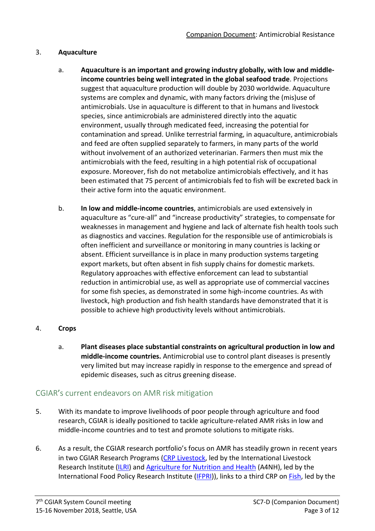#### 3. **Aquaculture**

- a. **Aquaculture is an important and growing industry globally, with low and middleincome countries being well integrated in the global seafood trade**. Projections suggest that aquaculture production will double by 2030 worldwide. Aquaculture systems are complex and dynamic, with many factors driving the (mis)use of antimicrobials. Use in aquaculture is different to that in humans and livestock species, since antimicrobials are administered directly into the aquatic environment, usually through medicated feed, increasing the potential for contamination and spread. Unlike terrestrial farming, in aquaculture, antimicrobials and feed are often supplied separately to farmers, in many parts of the world without involvement of an authorized veterinarian. Farmers then must mix the antimicrobials with the feed, resulting in a high potential risk of occupational exposure. Moreover, fish do not metabolize antimicrobials effectively, and it has been estimated that 75 percent of antimicrobials fed to fish will be excreted back in their active form into the aquatic environment.
- b. **In low and middle-income countries**, antimicrobials are used extensively in aquaculture as "cure-all" and "increase productivity" strategies, to compensate for weaknesses in management and hygiene and lack of alternate fish health tools such as diagnostics and vaccines. Regulation for the responsible use of antimicrobials is often inefficient and surveillance or monitoring in many countries is lacking or absent. Efficient surveillance is in place in many production systems targeting export markets, but often absent in fish supply chains for domestic markets. Regulatory approaches with effective enforcement can lead to substantial reduction in antimicrobial use, as well as appropriate use of commercial vaccines for some fish species, as demonstrated in some high-income countries. As with livestock, high production and fish health standards have demonstrated that it is possible to achieve high productivity levels without antimicrobials.

#### 4. **Crops**

a. **Plant diseases place substantial constraints on agricultural production in low and middle-income countries.** Antimicrobial use to control plant diseases is presently very limited but may increase rapidly in response to the emergence and spread of epidemic diseases, such as citrus greening disease.

## CGIAR's current endeavors on AMR risk mitigation

- 5. With its mandate to improve livelihoods of poor people through agriculture and food research, CGIAR is ideally positioned to tackle agriculture-related AMR risks in low and middle-income countries and to test and promote solutions to mitigate risks.
- 6. As a result, the CGIAR research portfolio's focus on AMR has steadily grown in recent years in two CGIAR Research Programs [\(CRP Livestock,](https://livestock.cgiar.org/) led by the International Livestock Research Institute [\(ILRI\)](https://www.ilri.org/) and [Agriculture for Nutrition and Health](http://a4nh.cgiar.org/) (A4NH), led by the International Food Policy Research Institute [\(IFPRI\)](http://www.ifpri.org/)), links to a third CRP on [Fish,](https://fish.cgiar.org/) led by the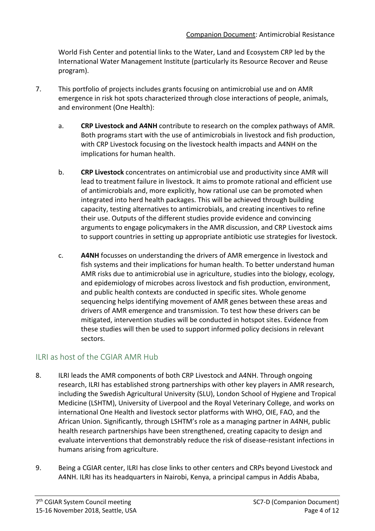World Fish Center and potential links to the Water, Land and Ecosystem CRP led by the International Water Management Institute (particularly its Resource Recover and Reuse program).

- 7. This portfolio of projects includes grants focusing on antimicrobial use and on AMR emergence in risk hot spots characterized through close interactions of people, animals, and environment (One Health):
	- a. **CRP Livestock and A4NH** contribute to research on the complex pathways of AMR. Both programs start with the use of antimicrobials in livestock and fish production, with CRP Livestock focusing on the livestock health impacts and A4NH on the implications for human health.
	- b. **CRP Livestock** concentrates on antimicrobial use and productivity since AMR will lead to treatment failure in livestock. It aims to promote rational and efficient use of antimicrobials and, more explicitly, how rational use can be promoted when integrated into herd health packages. This will be achieved through building capacity, testing alternatives to antimicrobials, and creating incentives to refine their use. Outputs of the different studies provide evidence and convincing arguments to engage policymakers in the AMR discussion, and CRP Livestock aims to support countries in setting up appropriate antibiotic use strategies for livestock.
	- c. **A4NH** focusses on understanding the drivers of AMR emergence in livestock and fish systems and their implications for human health. To better understand human AMR risks due to antimicrobial use in agriculture, studies into the biology, ecology, and epidemiology of microbes across livestock and fish production, environment, and public health contexts are conducted in specific sites. Whole genome sequencing helps identifying movement of AMR genes between these areas and drivers of AMR emergence and transmission. To test how these drivers can be mitigated, intervention studies will be conducted in hotspot sites. Evidence from these studies will then be used to support informed policy decisions in relevant sectors.

## ILRI as host of the CGIAR AMR Hub

- 8. ILRI leads the AMR components of both CRP Livestock and A4NH. Through ongoing research, ILRI has established strong partnerships with other key players in AMR research, including the Swedish Agricultural University (SLU), London School of Hygiene and Tropical Medicine (LSHTM), University of Liverpool and the Royal Veterinary College, and works on international One Health and livestock sector platforms with WHO, OIE, FAO, and the African Union. Significantly, through LSHTM's role as a managing partner in A4NH, public health research partnerships have been strengthened, creating capacity to design and evaluate interventions that demonstrably reduce the risk of disease-resistant infections in humans arising from agriculture.
- 9. Being a CGIAR center, ILRI has close links to other centers and CRPs beyond Livestock and A4NH. ILRI has its headquarters in Nairobi, Kenya, a principal campus in Addis Ababa,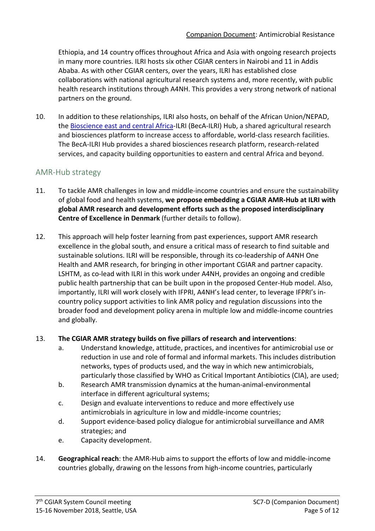Ethiopia, and 14 country offices throughout Africa and Asia with ongoing research projects in many more countries. ILRI hosts six other CGIAR centers in Nairobi and 11 in Addis Ababa. As with other CGIAR centers, over the years, ILRI has established close collaborations with national agricultural research systems and, more recently, with public health research institutions through A4NH. This provides a very strong network of national partners on the ground.

10. In addition to these relationships, ILRI also hosts, on behalf of the African Union/NEPAD, th[e Bioscience east and central Africa-](http://hub.africabiosciences.org/)ILRI (BecA-ILRI) Hub, a shared agricultural research and biosciences platform to increase access to affordable, world-class research facilities. The BecA-ILRI Hub provides a shared biosciences research platform, research-related services, and capacity building opportunities to eastern and central Africa and beyond.

## AMR-Hub strategy

- 11. To tackle AMR challenges in low and middle-income countries and ensure the sustainability of global food and health systems, **we propose embedding a CGIAR AMR-Hub at ILRI with global AMR research and development efforts such as the proposed interdisciplinary Centre of Excellence in Denmark** (further details to follow).
- 12. This approach will help foster learning from past experiences, support AMR research excellence in the global south, and ensure a critical mass of research to find suitable and sustainable solutions. ILRI will be responsible, through its co-leadership of A4NH One Health and AMR research, for bringing in other important CGIAR and partner capacity. LSHTM, as co-lead with ILRI in this work under A4NH, provides an ongoing and credible public health partnership that can be built upon in the proposed Center-Hub model. Also, importantly, ILRI will work closely with IFPRI, A4NH's lead center, to leverage IFPRI's incountry policy support activities to link AMR policy and regulation discussions into the broader food and development policy arena in multiple low and middle-income countries and globally.

#### 13. **The CGIAR AMR strategy builds on five pillars of research and interventions**:

- a. Understand knowledge, attitude, practices, and incentives for antimicrobial use or reduction in use and role of formal and informal markets. This includes distribution networks, types of products used, and the way in which new antimicrobials, particularly those classified by WHO as Critical Important Antibiotics (CIA), are used;
- b. Research AMR transmission dynamics at the human-animal-environmental interface in different agricultural systems;
- c. Design and evaluate interventions to reduce and more effectively use antimicrobials in agriculture in low and middle-income countries;
- d. Support evidence-based policy dialogue for antimicrobial surveillance and AMR strategies; and
- e. Capacity development.
- 14. **Geographical reach**: the AMR-Hub aims to support the efforts of low and middle-income countries globally, drawing on the lessons from high-income countries, particularly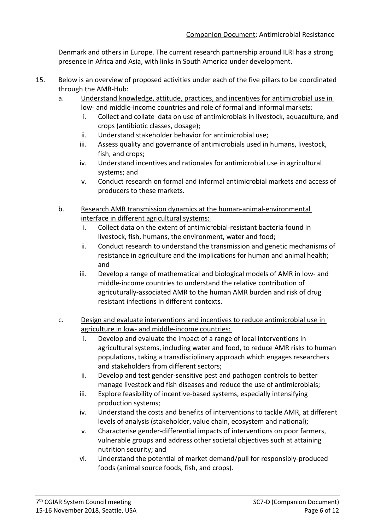Denmark and others in Europe. The current research partnership around ILRI has a strong presence in Africa and Asia, with links in South America under development.

- 15. Below is an overview of proposed activities under each of the five pillars to be coordinated through the AMR-Hub:
	- a. Understand knowledge, attitude, practices, and incentives for antimicrobial use in low- and middle-income countries and role of formal and informal markets:
		- i. Collect and collate data on use of antimicrobials in livestock, aquaculture, and crops (antibiotic classes, dosage);
		- ii. Understand stakeholder behavior for antimicrobial use;
		- iii. Assess quality and governance of antimicrobials used in humans, livestock, fish, and crops;
		- iv. Understand incentives and rationales for antimicrobial use in agricultural systems; and
		- v. Conduct research on formal and informal antimicrobial markets and access of producers to these markets.
	- b. Research AMR transmission dynamics at the human-animal-environmental interface in different agricultural systems:
		- i. Collect data on the extent of antimicrobial-resistant bacteria found in livestock, fish, humans, the environment, water and food;
		- ii. Conduct research to understand the transmission and genetic mechanisms of resistance in agriculture and the implications for human and animal health; and
		- iii. Develop a range of mathematical and biological models of AMR in low- and middle-income countries to understand the relative contribution of agricuturally-associated AMR to the human AMR burden and risk of drug resistant infections in different contexts.
	- c. Design and evaluate interventions and incentives to reduce antimicrobial use in agriculture in low- and middle-income countries:
		- i. Develop and evaluate the impact of a range of local interventions in agricultural systems, including water and food, to reduce AMR risks to human populations, taking a transdisciplinary approach which engages researchers and stakeholders from different sectors;
		- ii. Develop and test gender-sensitive pest and pathogen controls to better manage livestock and fish diseases and reduce the use of antimicrobials;
		- iii. Explore feasibility of incentive-based systems, especially intensifying production systems;
		- iv. Understand the costs and benefits of interventions to tackle AMR, at different levels of analysis (stakeholder, value chain, ecosystem and national);
		- v. Characterise gender-differential impacts of interventions on poor farmers, vulnerable groups and address other societal objectives such at attaining nutrition security; and
		- vi. Understand the potential of market demand/pull for responsibly-produced foods (animal source foods, fish, and crops).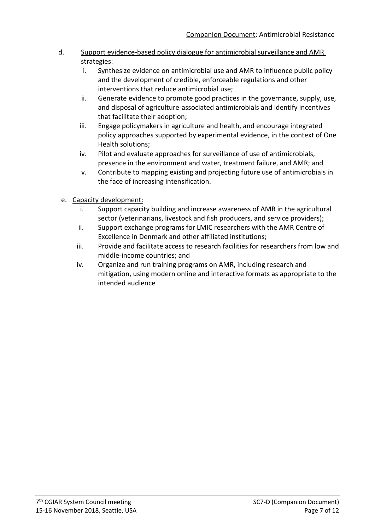#### d. Support evidence-based policy dialogue for antimicrobial surveillance and AMR strategies:

- i. Synthesize evidence on antimicrobial use and AMR to influence public policy and the development of credible, enforceable regulations and other interventions that reduce antimicrobial use;
- ii. Generate evidence to promote good practices in the governance, supply, use, and disposal of agriculture-associated antimicrobials and identify incentives that facilitate their adoption;
- iii. Engage policymakers in agriculture and health, and encourage integrated policy approaches supported by experimental evidence, in the context of One Health solutions;
- iv. Pilot and evaluate approaches for surveillance of use of antimicrobials, presence in the environment and water, treatment failure, and AMR; and
- v. Contribute to mapping existing and projecting future use of antimicrobials in the face of increasing intensification.
- e. Capacity development:
	- i. Support capacity building and increase awareness of AMR in the agricultural sector (veterinarians, livestock and fish producers, and service providers);
	- ii. Support exchange programs for LMIC researchers with the AMR Centre of Excellence in Denmark and other affiliated institutions;
	- iii. Provide and facilitate access to research facilities for researchers from low and middle-income countries; and
	- iv. Organize and run training programs on AMR, including research and mitigation, using modern online and interactive formats as appropriate to the intended audience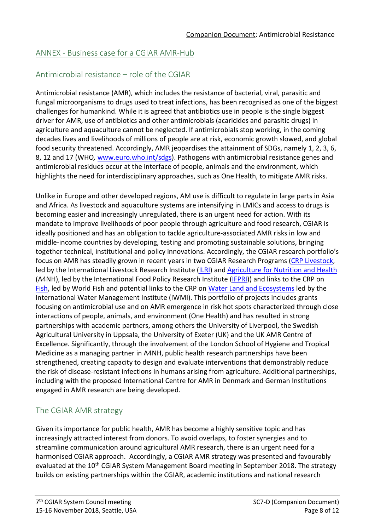## ANNEX - Business case for a CGIAR AMR-Hub

## Antimicrobial resistance – role of the CGIAR

Antimicrobial resistance (AMR), which includes the resistance of bacterial, viral, parasitic and fungal microorganisms to drugs used to treat infections, has been recognised as one of the biggest challenges for humankind. While it is agreed that antibiotics use in people is the single biggest driver for AMR, use of antibiotics and other antimicrobials (acaricides and parasitic drugs) in agriculture and aquaculture cannot be neglected. If antimicrobials stop working, in the coming decades lives and livelihoods of millions of people are at risk, economic growth slowed, and global food security threatened. Accordingly, AMR jeopardises the attainment of SDGs, namely 1, 2, 3, 6, 8, 12 and 17 (WHO*,* [www.euro.who.int/sdgs\)](http://www.euro.who.int/sdgs). Pathogens with antimicrobial resistance genes and antimicrobial residues occur at the interface of people, animals and the environment, which highlights the need for interdisciplinary approaches, such as One Health, to mitigate AMR risks.

Unlike in Europe and other developed regions, AM use is difficult to regulate in large parts in Asia and Africa. As livestock and aquaculture systems are intensifying in LMICs and access to drugs is becoming easier and increasingly unregulated, there is an urgent need for action. With its mandate to improve livelihoods of poor people through agriculture and food research, CGIAR is ideally positioned and has an obligation to tackle agriculture-associated AMR risks in low and middle-income countries by developing, testing and promoting sustainable solutions, bringing together technical, institutional and policy innovations. Accordingly, the CGIAR research portfolio's focus on AMR has steadily grown in recent years in two CGIAR Research Programs [\(CRP Livestock,](https://livestock.cgiar.org/) led by the International Livestock Research Institute [\(ILRI\)](https://www.ilri.org/) and [Agriculture for Nutrition and Health](http://a4nh.cgiar.org/) (A4NH), led by the International Food Policy Research Institute [\(IFPRI\)](http://www.ifpri.org/)) and links to the CRP on [Fish,](https://fish.cgiar.org/) led by World Fish and potential links to the CRP o[n Water Land and Ecosystems](https://wle.cgiar.org/) led by the International Water Management Institute (IWMI). This portfolio of projects includes grants focusing on antimicrobial use and on AMR emergence in risk hot spots characterized through close interactions of people, animals, and environment (One Health) and has resulted in strong partnerships with academic partners, among others the University of Liverpool, the Swedish Agricultural University in Uppsala, the University of Exeter (UK) and the UK AMR Centre of Excellence. Significantly, through the involvement of the London School of Hygiene and Tropical Medicine as a managing partner in A4NH, public health research partnerships have been strengthened, creating capacity to design and evaluate interventions that demonstrably reduce the risk of disease-resistant infections in humans arising from agriculture. Additional partnerships, including with the proposed International Centre for AMR in Denmark and German Institutions engaged in AMR research are being developed.

## The CGIAR AMR strategy

Given its importance for public health, AMR has become a highly sensitive topic and has increasingly attracted interest from donors. To avoid overlaps, to foster synergies and to streamline communication around agricultural AMR research, there is an urgent need for a harmonised CGIAR approach. Accordingly, a CGIAR AMR strategy was presented and favourably evaluated at the 10<sup>th</sup> CGIAR System Management Board meeting in September 2018. The strategy builds on existing partnerships within the CGIAR, academic institutions and national research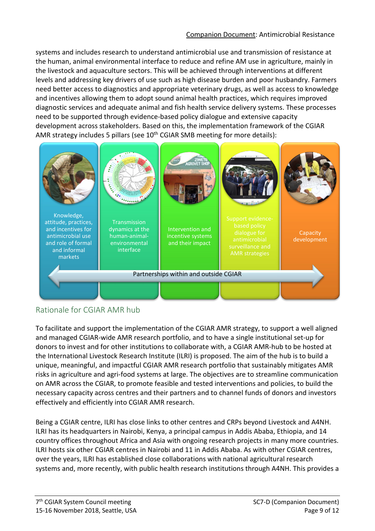systems and includes research to understand antimicrobial use and transmission of resistance at the human, animal environmental interface to reduce and refine AM use in agriculture, mainly in the livestock and aquaculture sectors. This will be achieved through interventions at different levels and addressing key drivers of use such as high disease burden and poor husbandry. Farmers need better access to diagnostics and appropriate veterinary drugs, as well as access to knowledge and incentives allowing them to adopt sound animal health practices, which requires improved diagnostic services and adequate animal and fish health service delivery systems. These processes need to be supported through evidence-based policy dialogue and extensive capacity development across stakeholders. Based on this, the implementation framework of the CGIAR AMR strategy includes 5 pillars (see 10<sup>th</sup> CGIAR SMB meeting for more details):



## Rationale for CGIAR AMR hub

To facilitate and support the implementation of the CGIAR AMR strategy, to support a well aligned and managed CGIAR-wide AMR research portfolio, and to have a single institutional set-up for donors to invest and for other institutions to collaborate with, a CGIAR AMR-hub to be hosted at the International Livestock Research Institute (ILRI) is proposed. The aim of the hub is to build a unique, meaningful, and impactful CGIAR AMR research portfolio that sustainably mitigates AMR risks in agriculture and agri-food systems at large. The objectives are to streamline communication on AMR across the CGIAR, to promote feasible and tested interventions and policies, to build the necessary capacity across centres and their partners and to channel funds of donors and investors effectively and efficiently into CGIAR AMR research.

Being a CGIAR centre, ILRI has close links to other centres and CRPs beyond Livestock and A4NH. ILRI has its headquarters in Nairobi, Kenya, a principal campus in Addis Ababa, Ethiopia, and 14 country offices throughout Africa and Asia with ongoing research projects in many more countries. ILRI hosts six other CGIAR centres in Nairobi and 11 in Addis Ababa. As with other CGIAR centres, over the years, ILRI has established close collaborations with national agricultural research systems and, more recently, with public health research institutions through A4NH. This provides a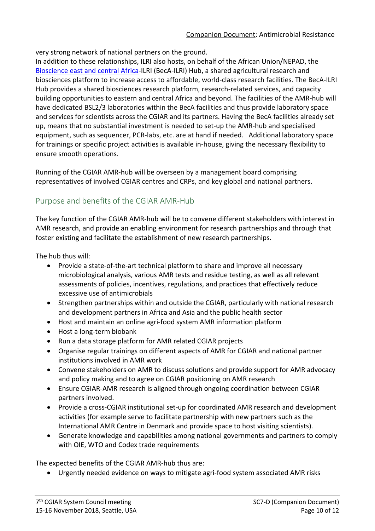very strong network of national partners on the ground.

In addition to these relationships, ILRI also hosts, on behalf of the African Union/NEPAD, the [Bioscience east and central Africa-](http://hub.africabiosciences.org/)ILRI (BecA-ILRI) Hub, a shared agricultural research and biosciences platform to increase access to affordable, world-class research facilities. The BecA-ILRI Hub provides a shared biosciences research platform, research-related services, and capacity building opportunities to eastern and central Africa and beyond. The facilities of the AMR-hub will have dedicated BSL2/3 laboratories within the BecA facilities and thus provide laboratory space and services for scientists across the CGIAR and its partners. Having the BecA facilities already set up, means that no substantial investment is needed to set-up the AMR-hub and specialised equipment, such as sequencer, PCR-labs, etc. are at hand if needed. Additional laboratory space for trainings or specific project activities is available in-house, giving the necessary flexibility to ensure smooth operations.

Running of the CGIAR AMR-hub will be overseen by a management board comprising representatives of involved CGIAR centres and CRPs, and key global and national partners.

## Purpose and benefits of the CGIAR AMR-Hub

The key function of the CGIAR AMR-hub will be to convene different stakeholders with interest in AMR research, and provide an enabling environment for research partnerships and through that foster existing and facilitate the establishment of new research partnerships.

The hub thus will:

- Provide a state-of-the-art technical platform to share and improve all necessary microbiological analysis, various AMR tests and residue testing, as well as all relevant assessments of policies, incentives, regulations, and practices that effectively reduce excessive use of antimicrobials
- Strengthen partnerships within and outside the CGIAR, particularly with national research and development partners in Africa and Asia and the public health sector
- Host and maintain an online agri-food system AMR information platform
- Host a long-term biobank
- Run a data storage platform for AMR related CGIAR projects
- Organise regular trainings on different aspects of AMR for CGIAR and national partner institutions involved in AMR work
- Convene stakeholders on AMR to discuss solutions and provide support for AMR advocacy and policy making and to agree on CGIAR positioning on AMR research
- Ensure CGIAR-AMR research is aligned through ongoing coordination between CGIAR partners involved.
- Provide a cross-CGIAR institutional set-up for coordinated AMR research and development activities (for example serve to facilitate partnership with new partners such as the International AMR Centre in Denmark and provide space to host visiting scientists).
- Generate knowledge and capabilities among national governments and partners to comply with OIE, WTO and Codex trade requirements

The expected benefits of the CGIAR AMR-hub thus are:

• Urgently needed evidence on ways to mitigate agri-food system associated AMR risks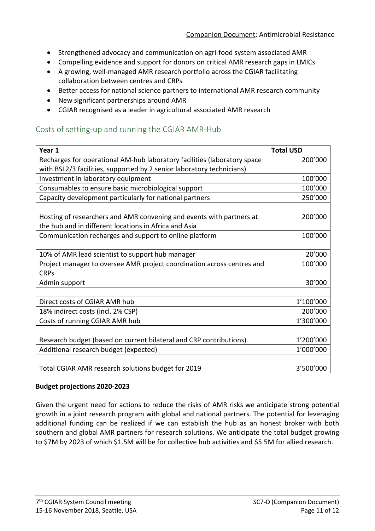- Strengthened advocacy and communication on agri-food system associated AMR
- Compelling evidence and support for donors on critical AMR research gaps in LMICs
- A growing, well-managed AMR research portfolio across the CGIAR facilitating collaboration between centres and CRPs
- Better access for national science partners to international AMR research community
- New significant partnerships around AMR
- CGIAR recognised as a leader in agricultural associated AMR research

## Costs of setting-up and running the CGIAR AMR-Hub

| Year 1                                                                   | <b>Total USD</b> |
|--------------------------------------------------------------------------|------------------|
| Recharges for operational AM-hub laboratory facilities (laboratory space | 200'000          |
| with BSL2/3 facilities, supported by 2 senior laboratory technicians)    |                  |
| Investment in laboratory equipment                                       | 100'000          |
| Consumables to ensure basic microbiological support                      | 100'000          |
| Capacity development particularly for national partners                  | 250'000          |
|                                                                          |                  |
| Hosting of researchers and AMR convening and events with partners at     | 200'000          |
| the hub and in different locations in Africa and Asia                    |                  |
| Communication recharges and support to online platform                   | 100'000          |
|                                                                          |                  |
| 10% of AMR lead scientist to support hub manager                         | 20'000           |
| Project manager to oversee AMR project coordination across centres and   | 100'000          |
| <b>CRPs</b>                                                              |                  |
| Admin support                                                            | 30'000           |
|                                                                          |                  |
| Direct costs of CGIAR AMR hub                                            | 1'100'000        |
| 18% indirect costs (incl. 2% CSP)                                        | 200'000          |
| Costs of running CGIAR AMR hub                                           | 1'300'000        |
|                                                                          |                  |
| Research budget (based on current bilateral and CRP contributions)       | 1'200'000        |
| Additional research budget (expected)                                    | 1'000'000        |
|                                                                          |                  |
| Total CGIAR AMR research solutions budget for 2019                       | 3'500'000        |

#### **Budget projections 2020-2023**

Given the urgent need for actions to reduce the risks of AMR risks we anticipate strong potential growth in a joint research program with global and national partners. The potential for leveraging additional funding can be realized if we can establish the hub as an honest broker with both southern and global AMR partners for research solutions. We anticipate the total budget growing to \$7M by 2023 of which \$1.5M will be for collective hub activities and \$5.5M for allied research.